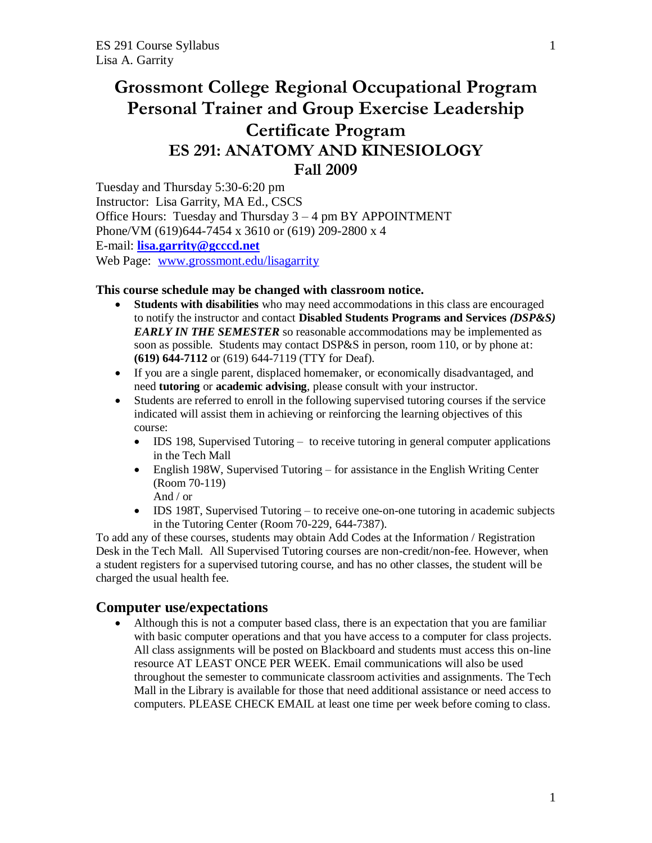# **Grossmont College Regional Occupational Program Personal Trainer and Group Exercise Leadership Certificate Program ES 291: ANATOMY AND KINESIOLOGY Fall 2009**

Tuesday and Thursday 5:30-6:20 pm Instructor: Lisa Garrity, MA Ed., CSCS Office Hours: Tuesday and Thursday 3 – 4 pm BY APPOINTMENT Phone/VM (619)644-7454 x 3610 or (619) 209-2800 x 4 E-mail: **[lisa.garrity@gcccd.net](mailto:lisa.garrity@gcccd.net)** Web Page: [www.grossmont.edu/lisagarrity](http://www.grossmont.edu/lisagarrity)

#### **This course schedule may be changed with classroom notice.**

- **Students with disabilities** who may need accommodations in this class are encouraged to notify the instructor and contact **Disabled Students Programs and Services** *(DSP&S) EARLY IN THE SEMESTER* so reasonable accommodations may be implemented as soon as possible. Students may contact DSP&S in person, room 110, or by phone at: **(619) 644-7112** or (619) 644-7119 (TTY for Deaf).
- If you are a single parent, displaced homemaker, or economically disadvantaged, and need **tutoring** or **academic advising**, please consult with your instructor.
- Students are referred to enroll in the following supervised tutoring courses if the service indicated will assist them in achieving or reinforcing the learning objectives of this course:
	- IDS 198, Supervised Tutoring to receive tutoring in general computer applications in the Tech Mall
	- English 198W, Supervised Tutoring for assistance in the English Writing Center (Room 70-119) And / or
	- IDS 198T, Supervised Tutoring to receive one-on-one tutoring in academic subjects in the Tutoring Center (Room 70-229, 644-7387).

To add any of these courses, students may obtain Add Codes at the Information / Registration Desk in the Tech Mall. All Supervised Tutoring courses are non-credit/non-fee. However, when a student registers for a supervised tutoring course, and has no other classes, the student will be charged the usual health fee.

# **Computer use/expectations**

 Although this is not a computer based class, there is an expectation that you are familiar with basic computer operations and that you have access to a computer for class projects. All class assignments will be posted on Blackboard and students must access this on-line resource AT LEAST ONCE PER WEEK. Email communications will also be used throughout the semester to communicate classroom activities and assignments. The Tech Mall in the Library is available for those that need additional assistance or need access to computers. PLEASE CHECK EMAIL at least one time per week before coming to class.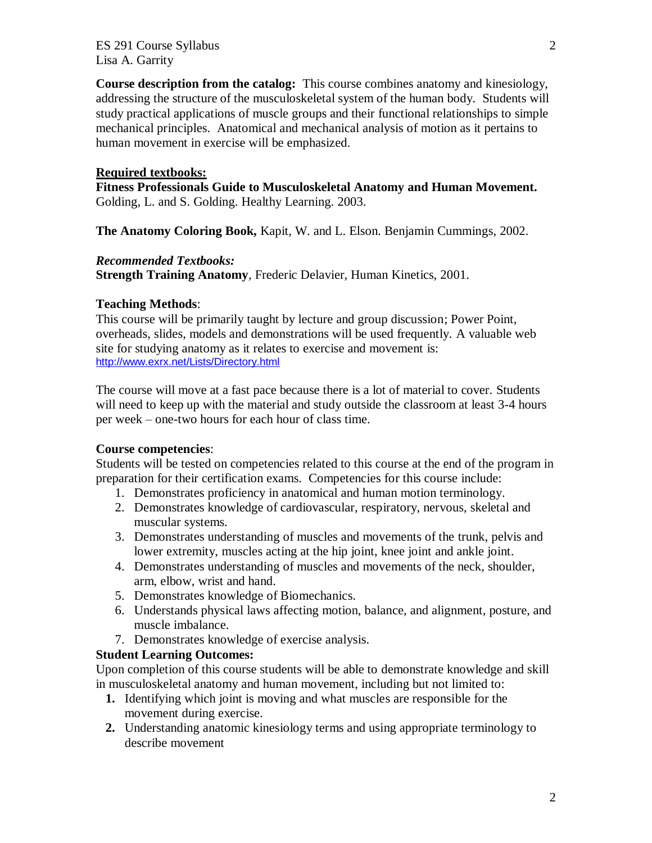ES 291 Course Syllabus 2 Lisa A. Garrity

**Course description from the catalog:** This course combines anatomy and kinesiology, addressing the structure of the musculoskeletal system of the human body. Students will study practical applications of muscle groups and their functional relationships to simple mechanical principles. Anatomical and mechanical analysis of motion as it pertains to human movement in exercise will be emphasized.

#### **Required textbooks:**

**Fitness Professionals Guide to Musculoskeletal Anatomy and Human Movement.**  Golding, L. and S. Golding. Healthy Learning. 2003.

**The Anatomy Coloring Book,** Kapit, W. and L. Elson. Benjamin Cummings, 2002.

#### *Recommended Textbooks:*

**Strength Training Anatomy**, Frederic Delavier, Human Kinetics, 2001.

#### **Teaching Methods**:

This course will be primarily taught by lecture and group discussion; Power Point, overheads, slides, models and demonstrations will be used frequently. A valuable web site for studying anatomy as it relates to exercise and movement is: <http://www.exrx.net/Lists/Directory.html>

The course will move at a fast pace because there is a lot of material to cover. Students will need to keep up with the material and study outside the classroom at least 3-4 hours per week – one-two hours for each hour of class time.

#### **Course competencies**:

Students will be tested on competencies related to this course at the end of the program in preparation for their certification exams. Competencies for this course include:

- 1. Demonstrates proficiency in anatomical and human motion terminology.
- 2. Demonstrates knowledge of cardiovascular, respiratory, nervous, skeletal and muscular systems.
- 3. Demonstrates understanding of muscles and movements of the trunk, pelvis and lower extremity, muscles acting at the hip joint, knee joint and ankle joint.
- 4. Demonstrates understanding of muscles and movements of the neck, shoulder, arm, elbow, wrist and hand.
- 5. Demonstrates knowledge of Biomechanics.
- 6. Understands physical laws affecting motion, balance, and alignment, posture, and muscle imbalance.
- 7. Demonstrates knowledge of exercise analysis.

#### **Student Learning Outcomes:**

Upon completion of this course students will be able to demonstrate knowledge and skill in musculoskeletal anatomy and human movement, including but not limited to:

- **1.** Identifying which joint is moving and what muscles are responsible for the movement during exercise.
- **2.** Understanding anatomic kinesiology terms and using appropriate terminology to describe movement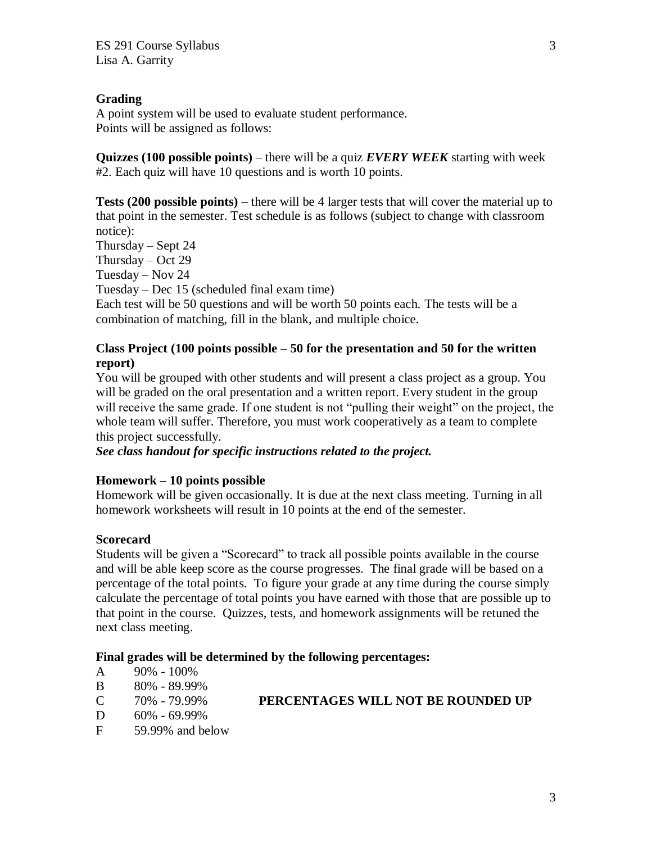# **Grading**

A point system will be used to evaluate student performance. Points will be assigned as follows:

**Quizzes (100 possible points)** – there will be a quiz *EVERY WEEK* starting with week #2. Each quiz will have 10 questions and is worth 10 points.

**Tests (200 possible points)** – there will be 4 larger tests that will cover the material up to that point in the semester. Test schedule is as follows (subject to change with classroom notice):

Thursday – Sept 24 Thursday – Oct 29

Tuesday – Nov 24

Tuesday – Dec 15 (scheduled final exam time)

Each test will be 50 questions and will be worth 50 points each. The tests will be a combination of matching, fill in the blank, and multiple choice.

# **Class Project (100 points possible – 50 for the presentation and 50 for the written report)**

You will be grouped with other students and will present a class project as a group. You will be graded on the oral presentation and a written report. Every student in the group will receive the same grade. If one student is not "pulling their weight" on the project, the whole team will suffer. Therefore, you must work cooperatively as a team to complete this project successfully.

*See class handout for specific instructions related to the project.*

### **Homework – 10 points possible**

Homework will be given occasionally. It is due at the next class meeting. Turning in all homework worksheets will result in 10 points at the end of the semester.

### **Scorecard**

Students will be given a "Scorecard" to track all possible points available in the course and will be able keep score as the course progresses. The final grade will be based on a percentage of the total points. To figure your grade at any time during the course simply calculate the percentage of total points you have earned with those that are possible up to that point in the course. Quizzes, tests, and homework assignments will be retuned the next class meeting.

### **Final grades will be determined by the following percentages:**

- A 90% 100%
- B 80% 89.99%
- C 70% 79.99% **PERCENTAGES WILL NOT BE ROUNDED UP**
- D 60% 69.99%
- F 59.99% and below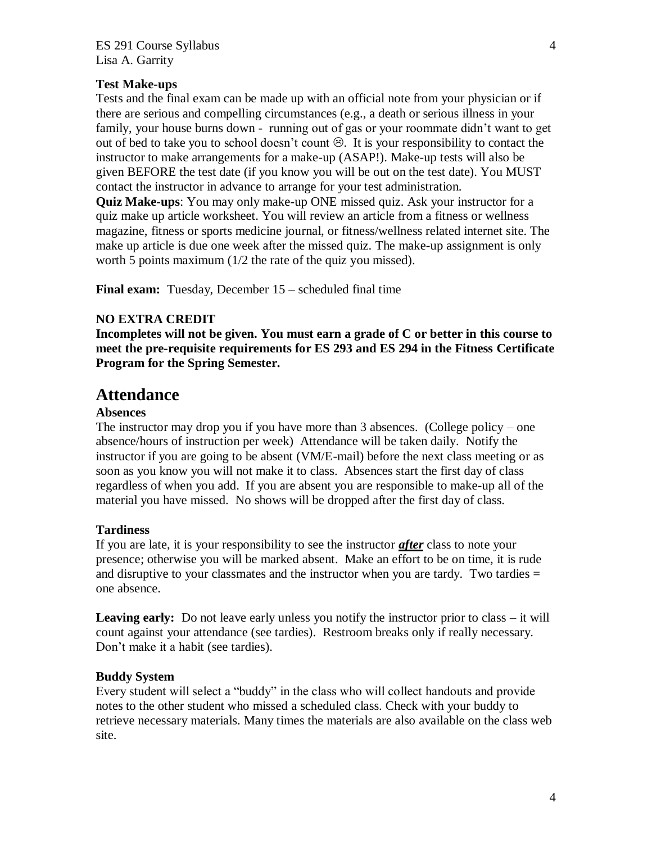## **Test Make-ups**

Tests and the final exam can be made up with an official note from your physician or if there are serious and compelling circumstances (e.g., a death or serious illness in your family, your house burns down - running out of gas or your roommate didn't want to get out of bed to take you to school doesn't count  $\odot$ . It is your responsibility to contact the instructor to make arrangements for a make-up (ASAP!). Make-up tests will also be given BEFORE the test date (if you know you will be out on the test date). You MUST contact the instructor in advance to arrange for your test administration.

**Quiz Make-ups**: You may only make-up ONE missed quiz. Ask your instructor for a quiz make up article worksheet. You will review an article from a fitness or wellness magazine, fitness or sports medicine journal, or fitness/wellness related internet site. The make up article is due one week after the missed quiz. The make-up assignment is only worth 5 points maximum (1/2 the rate of the quiz you missed).

**Final exam:** Tuesday, December 15 – scheduled final time

### **NO EXTRA CREDIT**

**Incompletes will not be given. You must earn a grade of C or better in this course to meet the pre-requisite requirements for ES 293 and ES 294 in the Fitness Certificate Program for the Spring Semester.**

# **Attendance**

#### **Absences**

The instructor may drop you if you have more than 3 absences. (College policy – one absence/hours of instruction per week) Attendance will be taken daily. Notify the instructor if you are going to be absent (VM/E-mail) before the next class meeting or as soon as you know you will not make it to class. Absences start the first day of class regardless of when you add. If you are absent you are responsible to make-up all of the material you have missed. No shows will be dropped after the first day of class.

### **Tardiness**

If you are late, it is your responsibility to see the instructor *after* class to note your presence; otherwise you will be marked absent. Make an effort to be on time, it is rude and disruptive to your classmates and the instructor when you are tardy. Two tardies  $=$ one absence.

**Leaving early:** Do not leave early unless you notify the instructor prior to class – it will count against your attendance (see tardies). Restroom breaks only if really necessary. Don't make it a habit (see tardies).

### **Buddy System**

Every student will select a "buddy" in the class who will collect handouts and provide notes to the other student who missed a scheduled class. Check with your buddy to retrieve necessary materials. Many times the materials are also available on the class web site.